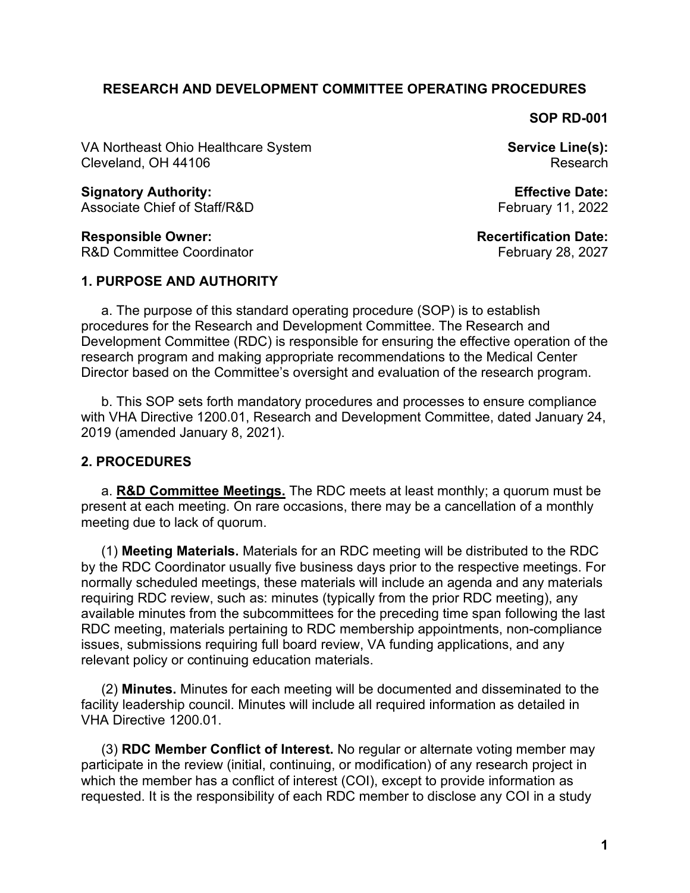### **RESEARCH AND DEVELOPMENT COMMITTEE OPERATING PROCEDURES**

**SOP RD-001**

VA Northeast Ohio Healthcare System Cleveland, OH 44106

**Service Line(s):** Research

**Effective Date:** February 11, 2022

**Recertification Date:** February 28, 2027

**Signatory Authority:** Associate Chief of Staff/R&D

**Responsible Owner:** R&D Committee Coordinator

# **1. PURPOSE AND AUTHORITY**

a. The purpose of this standard operating procedure (SOP) is to establish procedures for the Research and Development Committee. The Research and Development Committee (RDC) is responsible for ensuring the effective operation of the research program and making appropriate recommendations to the Medical Center Director based on the Committee's oversight and evaluation of the research program.

b. This SOP sets forth mandatory procedures and processes to ensure compliance with VHA Directive 1200.01, Research and Development Committee, dated January 24, 2019 (amended January 8, 2021).

### **2. PROCEDURES**

a. **R&D Committee Meetings.** The RDC meets at least monthly; a quorum must be present at each meeting. On rare occasions, there may be a cancellation of a monthly meeting due to lack of quorum.

(1) **Meeting Materials.** Materials for an RDC meeting will be distributed to the RDC by the RDC Coordinator usually five business days prior to the respective meetings. For normally scheduled meetings, these materials will include an agenda and any materials requiring RDC review, such as: minutes (typically from the prior RDC meeting), any available minutes from the subcommittees for the preceding time span following the last RDC meeting, materials pertaining to RDC membership appointments, non-compliance issues, submissions requiring full board review, VA funding applications, and any relevant policy or continuing education materials.

(2) **Minutes.** Minutes for each meeting will be documented and disseminated to the facility leadership council. Minutes will include all required information as detailed in VHA Directive 1200.01.

(3) **RDC Member Conflict of Interest.** No regular or alternate voting member may participate in the review (initial, continuing, or modification) of any research project in which the member has a conflict of interest (COI), except to provide information as requested. It is the responsibility of each RDC member to disclose any COI in a study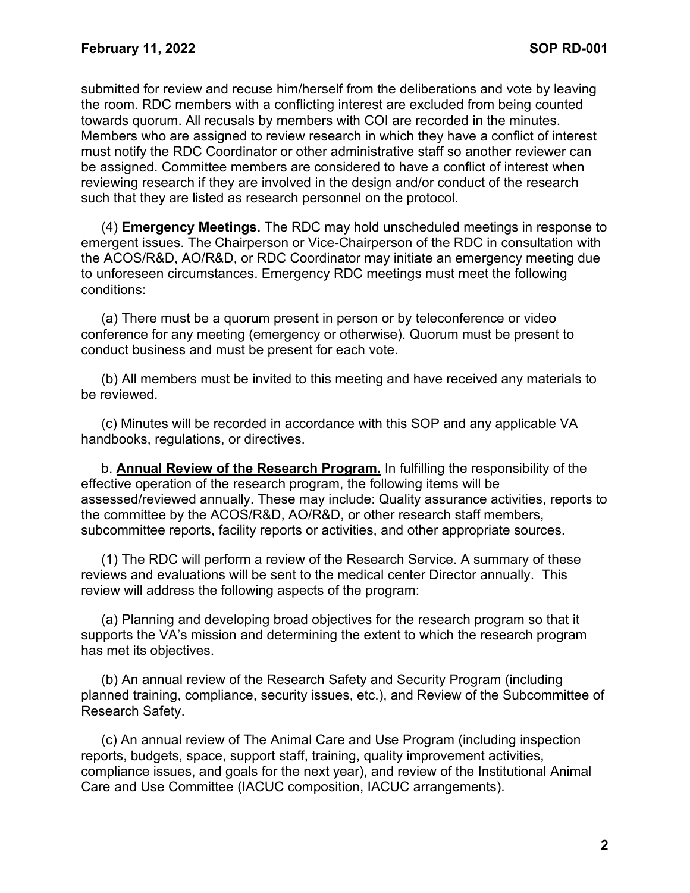submitted for review and recuse him/herself from the deliberations and vote by leaving the room. RDC members with a conflicting interest are excluded from being counted towards quorum. All recusals by members with COI are recorded in the minutes. Members who are assigned to review research in which they have a conflict of interest must notify the RDC Coordinator or other administrative staff so another reviewer can be assigned. Committee members are considered to have a conflict of interest when reviewing research if they are involved in the design and/or conduct of the research such that they are listed as research personnel on the protocol.

(4) **Emergency Meetings.** The RDC may hold unscheduled meetings in response to emergent issues. The Chairperson or Vice-Chairperson of the RDC in consultation with the ACOS/R&D, AO/R&D, or RDC Coordinator may initiate an emergency meeting due to unforeseen circumstances. Emergency RDC meetings must meet the following conditions:

(a) There must be a quorum present in person or by teleconference or video conference for any meeting (emergency or otherwise). Quorum must be present to conduct business and must be present for each vote.

(b) All members must be invited to this meeting and have received any materials to be reviewed.

(c) Minutes will be recorded in accordance with this SOP and any applicable VA handbooks, regulations, or directives.

b. **Annual Review of the Research Program.** In fulfilling the responsibility of the effective operation of the research program, the following items will be assessed/reviewed annually. These may include: Quality assurance activities, reports to the committee by the ACOS/R&D, AO/R&D, or other research staff members, subcommittee reports, facility reports or activities, and other appropriate sources.

(1) The RDC will perform a review of the Research Service. A summary of these reviews and evaluations will be sent to the medical center Director annually. This review will address the following aspects of the program:

(a) Planning and developing broad objectives for the research program so that it supports the VA's mission and determining the extent to which the research program has met its objectives.

(b) An annual review of the Research Safety and Security Program (including planned training, compliance, security issues, etc.), and Review of the Subcommittee of Research Safety.

(c) An annual review of The Animal Care and Use Program (including inspection reports, budgets, space, support staff, training, quality improvement activities, compliance issues, and goals for the next year), and review of the Institutional Animal Care and Use Committee (IACUC composition, IACUC arrangements).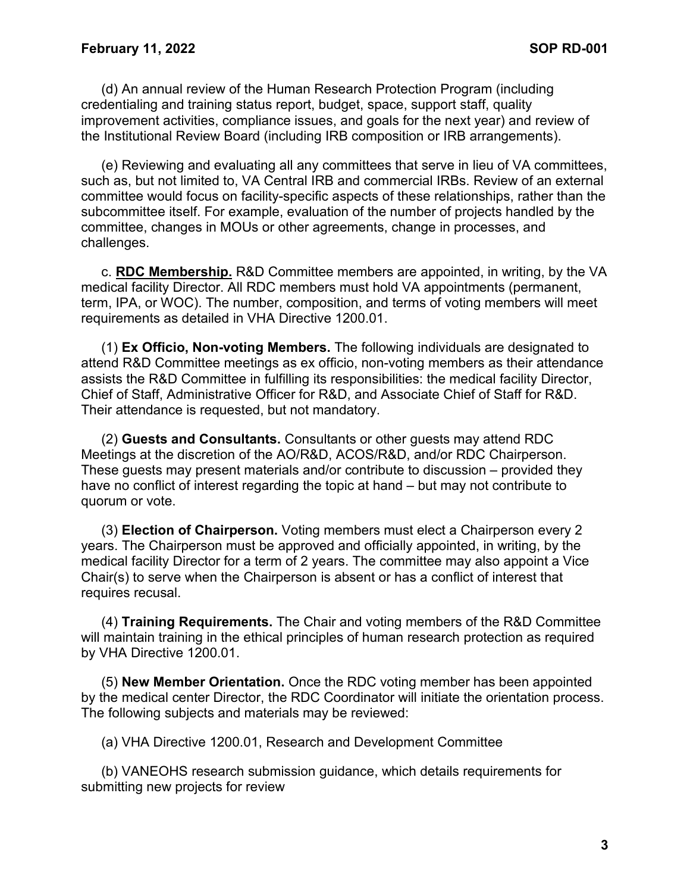(d) An annual review of the Human Research Protection Program (including credentialing and training status report, budget, space, support staff, quality improvement activities, compliance issues, and goals for the next year) and review of the Institutional Review Board (including IRB composition or IRB arrangements).

(e) Reviewing and evaluating all any committees that serve in lieu of VA committees, such as, but not limited to, VA Central IRB and commercial IRBs. Review of an external committee would focus on facility-specific aspects of these relationships, rather than the subcommittee itself. For example, evaluation of the number of projects handled by the committee, changes in MOUs or other agreements, change in processes, and challenges.

c. **RDC Membership.** R&D Committee members are appointed, in writing, by the VA medical facility Director. All RDC members must hold VA appointments (permanent, term, IPA, or WOC). The number, composition, and terms of voting members will meet requirements as detailed in VHA Directive 1200.01.

(1) **Ex Officio, Non-voting Members.** The following individuals are designated to attend R&D Committee meetings as ex officio, non-voting members as their attendance assists the R&D Committee in fulfilling its responsibilities: the medical facility Director, Chief of Staff, Administrative Officer for R&D, and Associate Chief of Staff for R&D. Their attendance is requested, but not mandatory.

(2) **Guests and Consultants.** Consultants or other guests may attend RDC Meetings at the discretion of the AO/R&D, ACOS/R&D, and/or RDC Chairperson. These guests may present materials and/or contribute to discussion – provided they have no conflict of interest regarding the topic at hand – but may not contribute to quorum or vote.

(3) **Election of Chairperson.** Voting members must elect a Chairperson every 2 years. The Chairperson must be approved and officially appointed, in writing, by the medical facility Director for a term of 2 years. The committee may also appoint a Vice Chair(s) to serve when the Chairperson is absent or has a conflict of interest that requires recusal.

(4) **Training Requirements.** The Chair and voting members of the R&D Committee will maintain training in the ethical principles of human research protection as required by VHA Directive 1200.01.

(5) **New Member Orientation.** Once the RDC voting member has been appointed by the medical center Director, the RDC Coordinator will initiate the orientation process. The following subjects and materials may be reviewed:

(a) VHA Directive 1200.01, Research and Development Committee

(b) VANEOHS research submission guidance, which details requirements for submitting new projects for review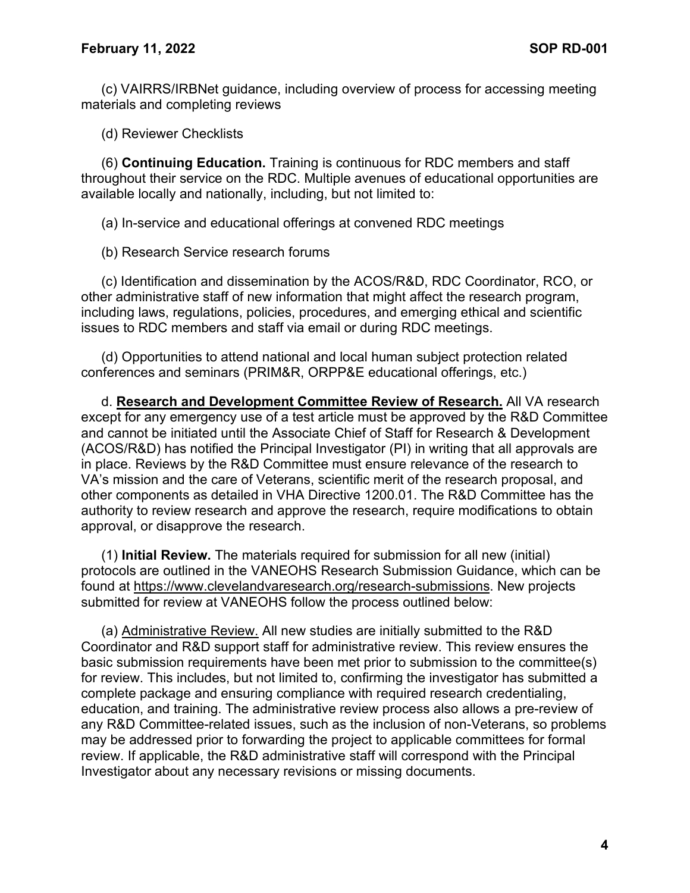(c) VAIRRS/IRBNet guidance, including overview of process for accessing meeting materials and completing reviews

(d) Reviewer Checklists

(6) **Continuing Education.** Training is continuous for RDC members and staff throughout their service on the RDC. Multiple avenues of educational opportunities are available locally and nationally, including, but not limited to:

(a) In-service and educational offerings at convened RDC meetings

(b) Research Service research forums

(c) Identification and dissemination by the ACOS/R&D, RDC Coordinator, RCO, or other administrative staff of new information that might affect the research program, including laws, regulations, policies, procedures, and emerging ethical and scientific issues to RDC members and staff via email or during RDC meetings.

(d) Opportunities to attend national and local human subject protection related conferences and seminars (PRIM&R, ORPP&E educational offerings, etc.)

d. **Research and Development Committee Review of Research.** All VA research except for any emergency use of a test article must be approved by the R&D Committee and cannot be initiated until the Associate Chief of Staff for Research & Development (ACOS/R&D) has notified the Principal Investigator (PI) in writing that all approvals are in place. Reviews by the R&D Committee must ensure relevance of the research to VA's mission and the care of Veterans, scientific merit of the research proposal, and other components as detailed in VHA Directive 1200.01. The R&D Committee has the authority to review research and approve the research, require modifications to obtain approval, or disapprove the research.

(1) **Initial Review.** The materials required for submission for all new (initial) protocols are outlined in the VANEOHS Research Submission Guidance, which can be found at [https://www.clevelandvaresearch.org/research-submissions.](https://www.clevelandvaresearch.org/research-submissions) New projects submitted for review at VANEOHS follow the process outlined below:

(a) Administrative Review. All new studies are initially submitted to the R&D Coordinator and R&D support staff for administrative review. This review ensures the basic submission requirements have been met prior to submission to the committee(s) for review. This includes, but not limited to, confirming the investigator has submitted a complete package and ensuring compliance with required research credentialing, education, and training. The administrative review process also allows a pre-review of any R&D Committee-related issues, such as the inclusion of non-Veterans, so problems may be addressed prior to forwarding the project to applicable committees for formal review. If applicable, the R&D administrative staff will correspond with the Principal Investigator about any necessary revisions or missing documents.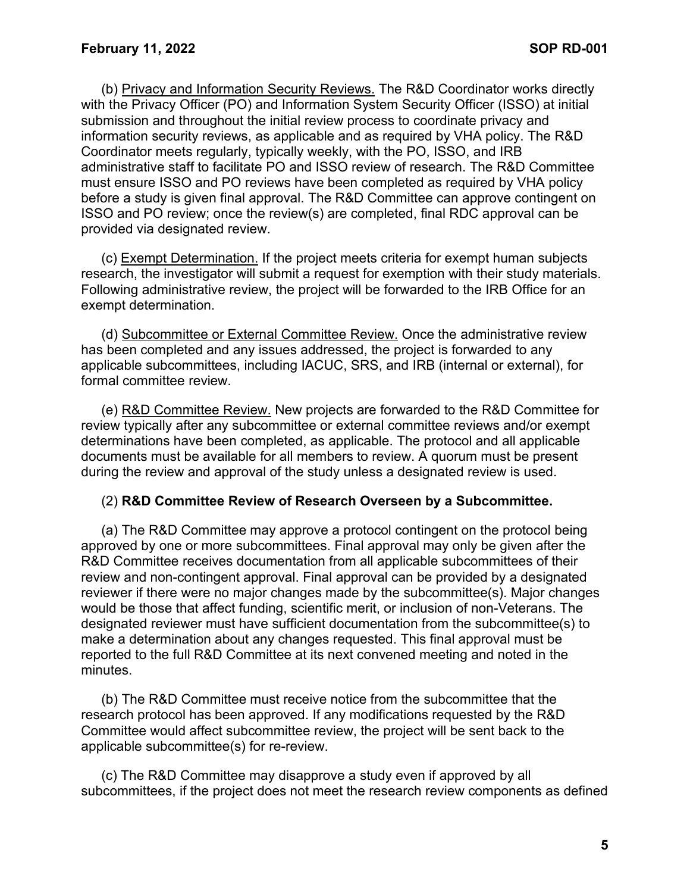(b) Privacy and Information Security Reviews. The R&D Coordinator works directly with the Privacy Officer (PO) and Information System Security Officer (ISSO) at initial submission and throughout the initial review process to coordinate privacy and information security reviews, as applicable and as required by VHA policy. The R&D Coordinator meets regularly, typically weekly, with the PO, ISSO, and IRB administrative staff to facilitate PO and ISSO review of research. The R&D Committee must ensure ISSO and PO reviews have been completed as required by VHA policy before a study is given final approval. The R&D Committee can approve contingent on ISSO and PO review; once the review(s) are completed, final RDC approval can be provided via designated review.

(c) Exempt Determination. If the project meets criteria for exempt human subjects research, the investigator will submit a request for exemption with their study materials. Following administrative review, the project will be forwarded to the IRB Office for an exempt determination.

(d) Subcommittee or External Committee Review. Once the administrative review has been completed and any issues addressed, the project is forwarded to any applicable subcommittees, including IACUC, SRS, and IRB (internal or external), for formal committee review.

(e) R&D Committee Review. New projects are forwarded to the R&D Committee for review typically after any subcommittee or external committee reviews and/or exempt determinations have been completed, as applicable. The protocol and all applicable documents must be available for all members to review. A quorum must be present during the review and approval of the study unless a designated review is used.

#### (2) **R&D Committee Review of Research Overseen by a Subcommittee.**

(a) The R&D Committee may approve a protocol contingent on the protocol being approved by one or more subcommittees. Final approval may only be given after the R&D Committee receives documentation from all applicable subcommittees of their review and non-contingent approval. Final approval can be provided by a designated reviewer if there were no major changes made by the subcommittee(s). Major changes would be those that affect funding, scientific merit, or inclusion of non-Veterans. The designated reviewer must have sufficient documentation from the subcommittee(s) to make a determination about any changes requested. This final approval must be reported to the full R&D Committee at its next convened meeting and noted in the minutes.

(b) The R&D Committee must receive notice from the subcommittee that the research protocol has been approved. If any modifications requested by the R&D Committee would affect subcommittee review, the project will be sent back to the applicable subcommittee(s) for re-review.

(c) The R&D Committee may disapprove a study even if approved by all subcommittees, if the project does not meet the research review components as defined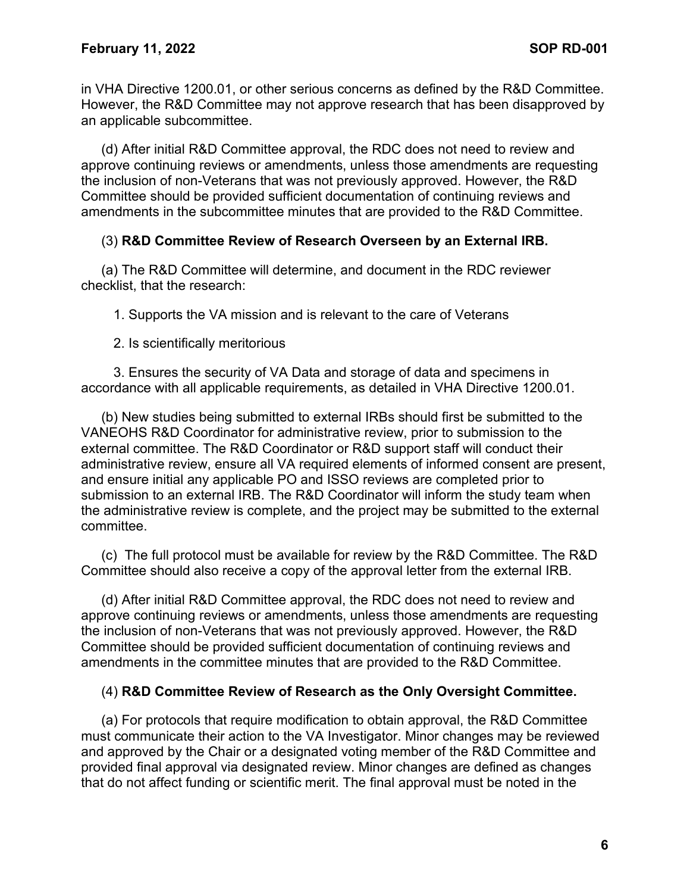in VHA Directive 1200.01, or other serious concerns as defined by the R&D Committee. However, the R&D Committee may not approve research that has been disapproved by an applicable subcommittee.

(d) After initial R&D Committee approval, the RDC does not need to review and approve continuing reviews or amendments, unless those amendments are requesting the inclusion of non-Veterans that was not previously approved. However, the R&D Committee should be provided sufficient documentation of continuing reviews and amendments in the subcommittee minutes that are provided to the R&D Committee.

### (3) **R&D Committee Review of Research Overseen by an External IRB.**

(a) The R&D Committee will determine, and document in the RDC reviewer checklist, that the research:

1. Supports the VA mission and is relevant to the care of Veterans

2. Is scientifically meritorious

3. Ensures the security of VA Data and storage of data and specimens in accordance with all applicable requirements, as detailed in VHA Directive 1200.01.

(b) New studies being submitted to external IRBs should first be submitted to the VANEOHS R&D Coordinator for administrative review, prior to submission to the external committee. The R&D Coordinator or R&D support staff will conduct their administrative review, ensure all VA required elements of informed consent are present, and ensure initial any applicable PO and ISSO reviews are completed prior to submission to an external IRB. The R&D Coordinator will inform the study team when the administrative review is complete, and the project may be submitted to the external committee.

(c) The full protocol must be available for review by the R&D Committee. The R&D Committee should also receive a copy of the approval letter from the external IRB.

(d) After initial R&D Committee approval, the RDC does not need to review and approve continuing reviews or amendments, unless those amendments are requesting the inclusion of non-Veterans that was not previously approved. However, the R&D Committee should be provided sufficient documentation of continuing reviews and amendments in the committee minutes that are provided to the R&D Committee.

### (4) **R&D Committee Review of Research as the Only Oversight Committee.**

(a) For protocols that require modification to obtain approval, the R&D Committee must communicate their action to the VA Investigator. Minor changes may be reviewed and approved by the Chair or a designated voting member of the R&D Committee and provided final approval via designated review. Minor changes are defined as changes that do not affect funding or scientific merit. The final approval must be noted in the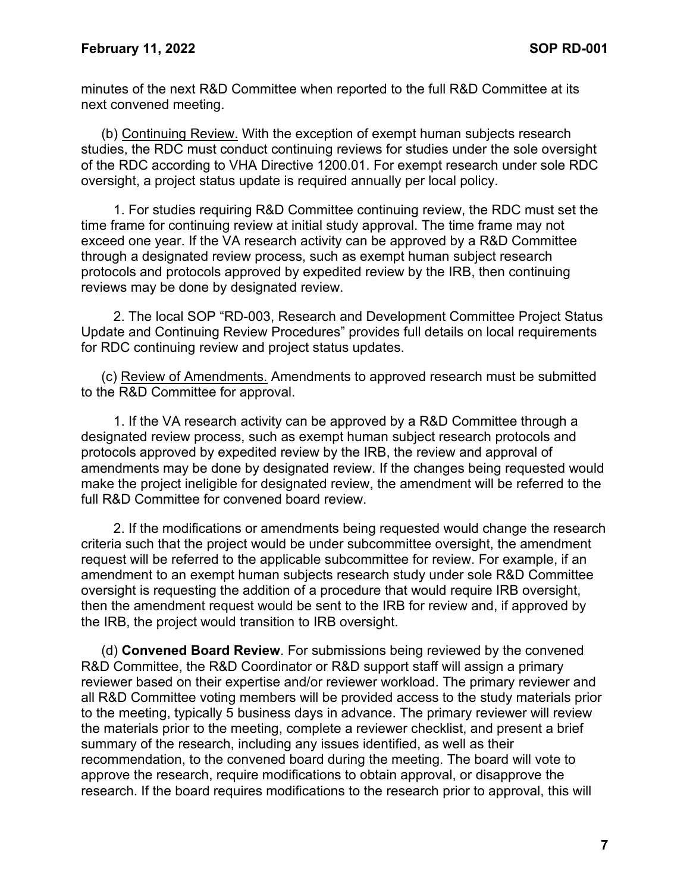minutes of the next R&D Committee when reported to the full R&D Committee at its next convened meeting.

(b) Continuing Review. With the exception of exempt human subjects research studies, the RDC must conduct continuing reviews for studies under the sole oversight of the RDC according to VHA Directive 1200.01. For exempt research under sole RDC oversight, a project status update is required annually per local policy.

1. For studies requiring R&D Committee continuing review, the RDC must set the time frame for continuing review at initial study approval. The time frame may not exceed one year. If the VA research activity can be approved by a R&D Committee through a designated review process, such as exempt human subject research protocols and protocols approved by expedited review by the IRB, then continuing reviews may be done by designated review.

2. The local SOP "RD-003, Research and Development Committee Project Status Update and Continuing Review Procedures" provides full details on local requirements for RDC continuing review and project status updates.

(c) Review of Amendments. Amendments to approved research must be submitted to the R&D Committee for approval.

1. If the VA research activity can be approved by a R&D Committee through a designated review process, such as exempt human subject research protocols and protocols approved by expedited review by the IRB, the review and approval of amendments may be done by designated review. If the changes being requested would make the project ineligible for designated review, the amendment will be referred to the full R&D Committee for convened board review.

2. If the modifications or amendments being requested would change the research criteria such that the project would be under subcommittee oversight, the amendment request will be referred to the applicable subcommittee for review. For example, if an amendment to an exempt human subjects research study under sole R&D Committee oversight is requesting the addition of a procedure that would require IRB oversight, then the amendment request would be sent to the IRB for review and, if approved by the IRB, the project would transition to IRB oversight.

(d) **Convened Board Review**. For submissions being reviewed by the convened R&D Committee, the R&D Coordinator or R&D support staff will assign a primary reviewer based on their expertise and/or reviewer workload. The primary reviewer and all R&D Committee voting members will be provided access to the study materials prior to the meeting, typically 5 business days in advance. The primary reviewer will review the materials prior to the meeting, complete a reviewer checklist, and present a brief summary of the research, including any issues identified, as well as their recommendation, to the convened board during the meeting. The board will vote to approve the research, require modifications to obtain approval, or disapprove the research. If the board requires modifications to the research prior to approval, this will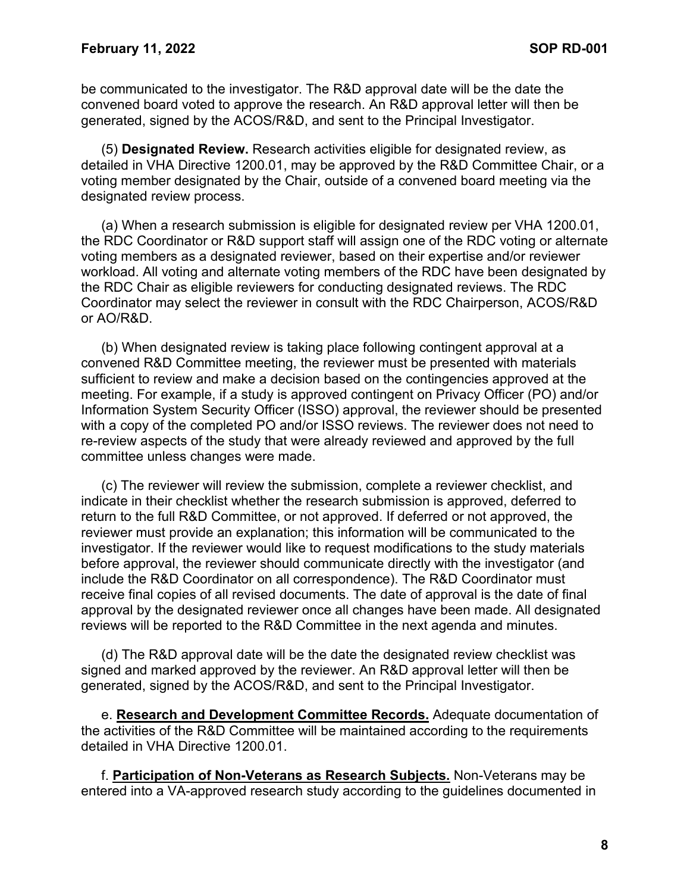be communicated to the investigator. The R&D approval date will be the date the convened board voted to approve the research. An R&D approval letter will then be generated, signed by the ACOS/R&D, and sent to the Principal Investigator.

(5) **Designated Review.** Research activities eligible for designated review, as detailed in VHA Directive 1200.01, may be approved by the R&D Committee Chair, or a voting member designated by the Chair, outside of a convened board meeting via the designated review process.

(a) When a research submission is eligible for designated review per VHA 1200.01, the RDC Coordinator or R&D support staff will assign one of the RDC voting or alternate voting members as a designated reviewer, based on their expertise and/or reviewer workload. All voting and alternate voting members of the RDC have been designated by the RDC Chair as eligible reviewers for conducting designated reviews. The RDC Coordinator may select the reviewer in consult with the RDC Chairperson, ACOS/R&D or AO/R&D.

(b) When designated review is taking place following contingent approval at a convened R&D Committee meeting, the reviewer must be presented with materials sufficient to review and make a decision based on the contingencies approved at the meeting. For example, if a study is approved contingent on Privacy Officer (PO) and/or Information System Security Officer (ISSO) approval, the reviewer should be presented with a copy of the completed PO and/or ISSO reviews. The reviewer does not need to re-review aspects of the study that were already reviewed and approved by the full committee unless changes were made.

(c) The reviewer will review the submission, complete a reviewer checklist, and indicate in their checklist whether the research submission is approved, deferred to return to the full R&D Committee, or not approved. If deferred or not approved, the reviewer must provide an explanation; this information will be communicated to the investigator. If the reviewer would like to request modifications to the study materials before approval, the reviewer should communicate directly with the investigator (and include the R&D Coordinator on all correspondence). The R&D Coordinator must receive final copies of all revised documents. The date of approval is the date of final approval by the designated reviewer once all changes have been made. All designated reviews will be reported to the R&D Committee in the next agenda and minutes.

(d) The R&D approval date will be the date the designated review checklist was signed and marked approved by the reviewer. An R&D approval letter will then be generated, signed by the ACOS/R&D, and sent to the Principal Investigator.

e. **Research and Development Committee Records.** Adequate documentation of the activities of the R&D Committee will be maintained according to the requirements detailed in VHA Directive 1200.01.

f. **Participation of Non-Veterans as Research Subjects.** Non-Veterans may be entered into a VA-approved research study according to the guidelines documented in